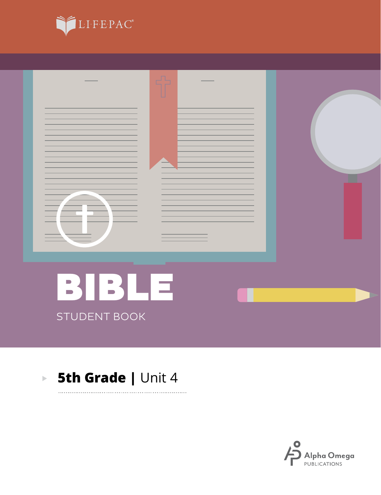



. . . . . . . . . .

### **5th Grade | Unit 4**  $\mathbf{E}^{(1)}$

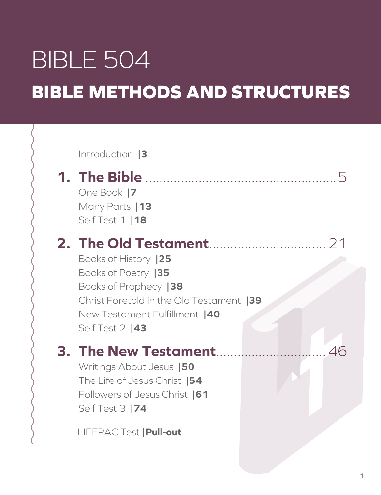# BIBLE 504 **BIBLE METHODS AND STRUCTURES**

Introduction **|3**

## **1. The Bible** ......................................................5

One Book **|7** Many Parts **|13** Self Test 1 **|18**

## **2. The Old Testament**.................................21

Books of History **|25** Books of Poetry **|35** Books of Prophecy **|38** Christ Foretold in the Old Testament **|39** New Testament Fulfillment **|40** Self Test 2 **|43**

## **3. The New Testament**...............................46

Writings About Jesus **|50** The Life of Jesus Christ **|54** Followers of Jesus Christ **|61** Self Test 3 **|74**

LIFEPAC Test **|Pull-out**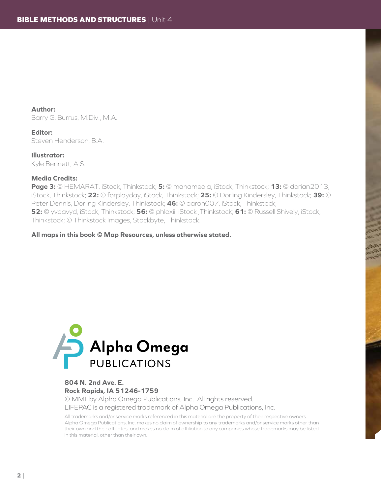**Author:** Barry G. Burrus, M.Div., M.A.

**Editor:** Steven Henderson, B.A.

**Illustrator:** Kyle Bennett, A.S.

#### **Media Credits:**

**Page 3:** © HEMARAT, iStock, Thinkstock; **5:** © manamedia, iStock, Thinkstock; **13:** © dorian2013, iStock, Thinkstock; **22:** © forplayday, iStock, Thinkstock; **25:** © Dorling Kindersley, Thinkstock; **39:** © Peter Dennis, Dorling Kindersley, Thinkstock; **46:** © aaron007, iStock, Thinkstock; **52:** © yvdavyd, iStock, Thinkstock; **56:** © phloxii, iStock ,Thinkstock; **61:** © Russell Shively, iStock, Thinkstock; © Thinkstock Images, Stockbyte, Thinkstock.

**All maps in this book © Map Resources, unless otherwise stated.**



### **804 N. 2nd Ave. E. Rock Rapids, IA 51246-1759**

© MMII by Alpha Omega Publications, Inc. All rights reserved. LIFEPAC is a registered trademark of Alpha Omega Publications, Inc.

All trademarks and/or service marks referenced in this material are the property of their respective owners. Alpha Omega Publications, Inc. makes no claim of ownership to any trademarks and/or service marks other than their own and their affiliates, and makes no claim of affiliation to any companies whose trademarks may be listed in this material, other than their own.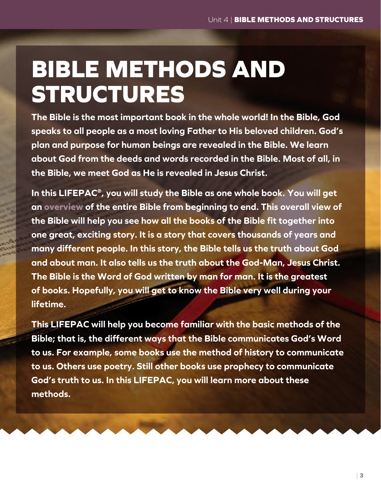# **BIBLE METHODS AND STRUCTURES**

**The Bible is the most important book in the whole world! In the Bible, God speaks to all people as a most loving Father to His beloved children. God's plan and purpose for human beings are revealed in the Bible. We learn about God from the deeds and words recorded in the Bible. Most of all, in the Bible, we meet God as He is revealed in Jesus Christ.**

**In this LIFEPAC®, you will study the Bible as one whole book. You will get an overview of the entire Bible from beginning to end. This overall view of the Bible will help you see how all the books of the Bible fit together into one great, exciting story. It is a story that covers thousands of years and many different people. In this story, the Bible tells us the truth about God and about man. It also tells us the truth about the God-Man, Jesus Christ. The Bible is the Word of God written by man for man. It is the greatest of books. Hopefully, you will get to know the Bible very well during your lifetime.**

**This LIFEPAC will help you become familiar with the basic methods of the Bible; that is, the different ways that the Bible communicates God's Word to us. For example, some books use the method of history to communicate to us. Others use poetry. Still other books use prophecy to communicate God's truth to us. In this LIFEPAC, you will learn more about these methods.**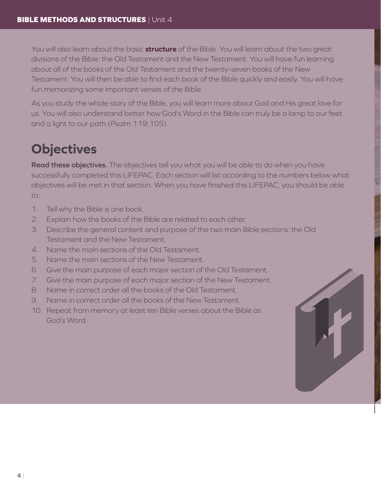You will also learn about the basic **structure** of the Bible. You will learn about the two great divisions of the Bible: the Old Testament and the New Testament. You will have fun learning about all of the books of the Old Testament and the twenty-seven books of the New Testament. You will then be able to find each book of the Bible quickly and easily. You will have fun memorizing some important verses of the Bible.

As you study the whole story of the Bible, you will learn more about God and His great love for us. You will also understand better how God's Word in the Bible can truly be a lamp to our feet and a light to our path (*Psalm* 119:105).

## **Objectives**

**Read these objectives.** The objectives tell you what you will be able to do when you have successfully completed this LIFEPAC. Each section will list according to the numbers below what objectives will be met in that section. When you have finished this LIFEPAC, you should be able to:

- 1. Tell why the Bible is one book.
- 2. Explain how the books of the Bible are related to each other.
- 3. Describe the general content and purpose of the two main Bible sections: the Old Testament and the New Testament.
- 4. Name the main sections of the Old Testament.
- 5. Name the main sections of the New Testament.
- 6. Give the main purpose of each major section of the Old Testament.
- 7. Give the main purpose of each major section of the New Testament.
- 8. Name in correct order all the books of the Old Testament.
- 9. Name in correct order all the books of the New Testament.
- 10. Repeat from memory at least ten Bible verses about the Bible as God's Word.

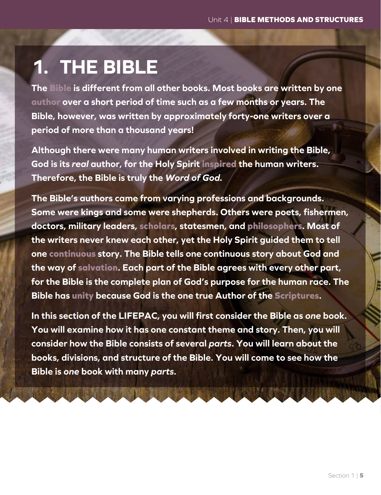## **1. THE BIBLE**

**The Bible is different from all other books. Most books are written by one author over a short period of time such as a few months or years. The Bible, however, was written by approximately forty-one writers over a period of more than a thousand years!**

**Although there were many human writers involved in writing the Bible, God is its** *real* **author, for the Holy Spirit inspired the human writers. Therefore, the Bible is truly the** *Word of God.*

**The Bible's authors came from varying professions and backgrounds. Some were kings and some were shepherds. Others were poets, fishermen, doctors, military leaders, scholars, statesmen, and philosophers. Most of the writers never knew each other, yet the Holy Spirit guided them to tell one continuous story. The Bible tells one continuous story about God and the way of salvation. Each part of the Bible agrees with every other part, for the Bible is the complete plan of God's purpose for the human race. The Bible has unity because God is the one true Author of the Scriptures.**

**In this section of the LIFEPAC, you will first consider the Bible as** *one* **book. You will examine how it has one constant theme and story. Then, you will consider how the Bible consists of several** *parts***. You will learn about the books, divisions, and structure of the Bible. You will come to see how the Bible is** *one* **book with many** *parts***.**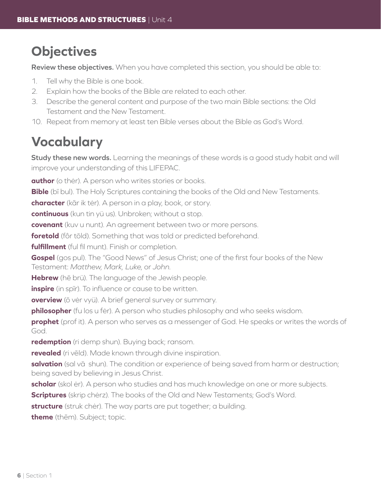## **Objectives**

**Review these objectives.** When you have completed this section, you should be able to:

- 1. Tell why the Bible is one book.
- 2. Explain how the books of the Bible are related to each other.
- 3. Describe the general content and purpose of the two main Bible sections: the Old Testament and the New Testament.
- 10. Repeat from memory at least ten Bible verses about the Bible as God's Word.

## **Vocabulary**

**Study these new words.** Learning the meanings of these words is a good study habit and will improve your understanding of this LIFEPAC.

**author** (o ther). A person who writes stories or books.

**Bible** (bī bul). The Holy Scriptures containing the books of the Old and New Testaments.

**character** (kãr ik tėr). A person in a play, book, or story.

**continuous** (kun tin yü us). Unbroken; without a stop.

**covenant** (kuv u nunt). An agreement between two or more persons.

**foretold** (fôr tōld). Something that was told or predicted beforehand.

**fulfillment** (ful fil munt). Finish or completion.

**Gospel** (gos pul). The "Good News" of Jesus Christ; one of the first four books of the New Testament: *Matthew, Mark, Luke*, or *John*.

**Hebrew** (hē brü). The language of the Jewish people.

**inspire** (in spir). To influence or cause to be written.

**overview** (ō vėr vyü). A brief general survey or summary.

**philosopher** (fu los u fėr). A person who studies philosophy and who seeks wisdom.

**prophet** (prof it). A person who serves as a messenger of God. He speaks or writes the words of God.

**redemption** (ri demp shun). Buying back; ransom.

**revealed** (ri vēld). Made known through divine inspiration.

**salvation** (sal vā shun). The condition or experience of being saved from harm or destruction; being saved by believing in Jesus Christ.

**scholar** (skol ėr). A person who studies and has much knowledge on one or more subjects.

**Scriptures** (skrip chėrz). The books of the Old and New Testaments; God's Word.

**structure** (struk chėr). The way parts are put together; a building.

**theme** (thēm). Subject; topic.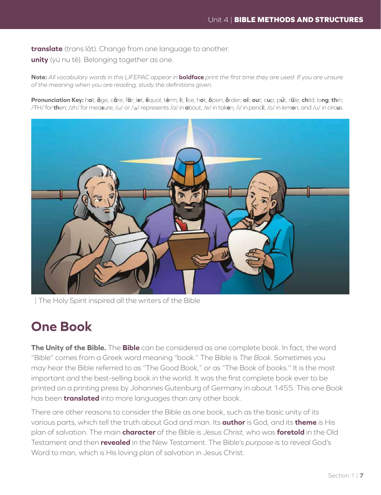**translate** (trans lāt). Change from one language to another.

**unity** (yü nu tē). Belonging together as one.

**Note:** *All vocabulary words in this LIFEPAC appear in* **boldface** *print the first time they are used. If you are unsure of the meaning when you are reading, study the definitions given.*

Pronunciation Key: hat, āge, cãre, fär; let, ēqual, tėrm; it, īce; hot, ōpen, ôrder; oil; out; cup, put, rüle; child; long; thin; /ŦH/ for **th**en; /zh/ for mea**s**ure; /u/ or / <sup>e</sup> / represents /a/ in **a**bout, /e/ in tak**e**n, /i/ in penc**i**l, /o/ in lem**o**n, and /u/ in circ**u**s.



| The Holy Spirit inspired all the writers of the Bible

### **One Book**

**The Unity of the Bible.** The **Bible** can be considered as one complete book. In fact, the word "Bible" comes from a Greek word meaning "book." The Bible is *The Book*. Sometimes you may hear the Bible referred to as "The Good Book," or as "The Book of books." It is the most important and the best-selling book in the world. It was the first complete book ever to be printed on a printing press by Johannes Gutenburg of Germany in about 1455. This one Book has been **translated** into more languages than any other book.

There are other reasons to consider the Bible as one book, such as the basic unity of its various parts, which tell the truth about God and man. Its **author** is God, and its **theme** is His plan of salvation. The main **character** of the Bible is *Jesus Christ,* who was **foretold** in the Old Testament and then **revealed** in the New Testament. The Bible's *purpose* is to reveal God's Word to man, which is His loving plan of salvation in Jesus Christ.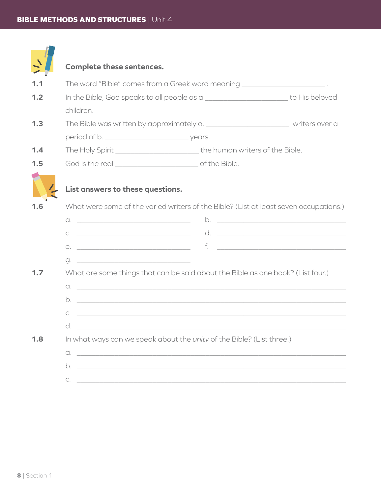|     | Complete these sentences.                                                                                                                                                                                                                                                                                                                                           |                                                                                         |               |
|-----|---------------------------------------------------------------------------------------------------------------------------------------------------------------------------------------------------------------------------------------------------------------------------------------------------------------------------------------------------------------------|-----------------------------------------------------------------------------------------|---------------|
| 1.1 |                                                                                                                                                                                                                                                                                                                                                                     | The word "Bible" comes from a Greek word meaning ________________________.              |               |
| 1.2 |                                                                                                                                                                                                                                                                                                                                                                     | In the Bible, God speaks to all people as a ____________________________ to His beloved |               |
|     | children.                                                                                                                                                                                                                                                                                                                                                           |                                                                                         |               |
| 1.3 | The Bible was written by approximately a. ____________________________ writers over a                                                                                                                                                                                                                                                                               |                                                                                         |               |
|     |                                                                                                                                                                                                                                                                                                                                                                     |                                                                                         |               |
| 1.4 |                                                                                                                                                                                                                                                                                                                                                                     | The Holy Spirit ________________________________the human writers of the Bible.         |               |
| 1.5 |                                                                                                                                                                                                                                                                                                                                                                     |                                                                                         |               |
|     | List answers to these questions.                                                                                                                                                                                                                                                                                                                                    |                                                                                         |               |
| 1.6 |                                                                                                                                                                                                                                                                                                                                                                     | What were some of the varied writers of the Bible? (List at least seven occupations.)   |               |
|     | $\begin{picture}(18,10) \put(0,0){\vector(1,0){100}} \put(10,0){\vector(1,0){100}} \put(10,0){\vector(1,0){100}} \put(10,0){\vector(1,0){100}} \put(10,0){\vector(1,0){100}} \put(10,0){\vector(1,0){100}} \put(10,0){\vector(1,0){100}} \put(10,0){\vector(1,0){100}} \put(10,0){\vector(1,0){100}} \put(10,0){\vector(1,0){100}} \put(10,0){\vector(1,0){100}} \$ |                                                                                         | $\mathsf b$ . |
|     | $C. \t\underbrace{\hspace{2.5cm}}$                                                                                                                                                                                                                                                                                                                                  |                                                                                         |               |
|     |                                                                                                                                                                                                                                                                                                                                                                     |                                                                                         |               |
|     | <u> 1999 - Johann Harry Harry Harry Harry Harry Harry Harry Harry Harry Harry Harry Harry Harry Harry Harry Harry Harry Harry Harry Harry Harry Harry Harry Harry Harry Harry Harry Harry Harry Harry Harry Harry Harry Harry Ha</u><br>g.                                                                                                                          |                                                                                         |               |
| 1.7 |                                                                                                                                                                                                                                                                                                                                                                     | What are some things that can be said about the Bible as one book? (List four.)         |               |
|     |                                                                                                                                                                                                                                                                                                                                                                     |                                                                                         |               |
|     | b.                                                                                                                                                                                                                                                                                                                                                                  |                                                                                         |               |
|     |                                                                                                                                                                                                                                                                                                                                                                     |                                                                                         |               |
|     |                                                                                                                                                                                                                                                                                                                                                                     |                                                                                         |               |
| 1.8 |                                                                                                                                                                                                                                                                                                                                                                     | In what ways can we speak about the unity of the Bible? (List three.)                   |               |
|     |                                                                                                                                                                                                                                                                                                                                                                     | $\alpha$ . $\qquad \qquad$                                                              |               |
|     |                                                                                                                                                                                                                                                                                                                                                                     |                                                                                         |               |
|     | $C.$ $\qquad \qquad$                                                                                                                                                                                                                                                                                                                                                |                                                                                         |               |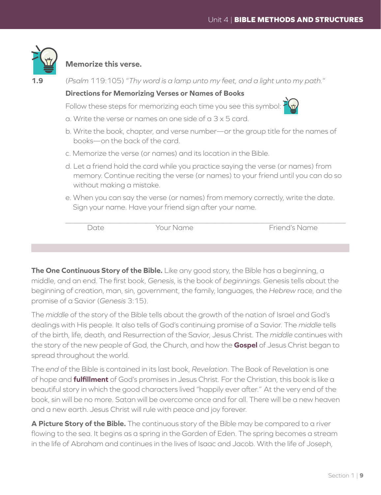

### **Memorize this verse.**

| 1.9 |                                                                                |                                                                                                                                                                                                     | (Psalm 119:105) "Thy word is a lamp unto my feet, and a light unto my path."     |  |  |  |
|-----|--------------------------------------------------------------------------------|-----------------------------------------------------------------------------------------------------------------------------------------------------------------------------------------------------|----------------------------------------------------------------------------------|--|--|--|
|     |                                                                                | <b>Directions for Memorizing Verses or Names of Books</b>                                                                                                                                           |                                                                                  |  |  |  |
|     | Follow these steps for memorizing each time you see this symbol: $\frac{1}{1}$ |                                                                                                                                                                                                     | $\overline{\mathbb{F}}$                                                          |  |  |  |
|     | a. Write the verse or names on one side of a 3 x 5 card.                       |                                                                                                                                                                                                     |                                                                                  |  |  |  |
|     | books—on the back of the card.                                                 |                                                                                                                                                                                                     | b. Write the book, chapter, and verse number-or the group title for the names of |  |  |  |
|     | c. Memorize the verse (or names) and its location in the Bible.                |                                                                                                                                                                                                     |                                                                                  |  |  |  |
|     |                                                                                | d. Let a friend hold the card while you practice saying the verse (or names) from<br>memory. Continue reciting the verse (or names) to your friend until you can do so<br>without making a mistake. |                                                                                  |  |  |  |
|     |                                                                                | e. When you can say the verse (or names) from memory correctly, write the date.<br>Sign your name. Have your friend sign after your name.                                                           |                                                                                  |  |  |  |
|     | Date                                                                           | Your Name                                                                                                                                                                                           | Friend's Name                                                                    |  |  |  |

**The One Continuous Story of the Bible.** Like any good story, the Bible has a beginning, a middle, and an end. The first book, *Genesis*, is the book of *beginnings*. Genesis tells about the beginning of creation, man, sin, government, the family, languages, the *Hebrew* race, and the promise of a Savior (*Genesis* 3:15).

The *middle* of the story of the Bible tells about the growth of the nation of Israel and God's dealings with His people. It also tells of God's continuing promise of a Savior. The *middle* tells of the birth, life, death, and Resurrection of the Savior, Jesus Christ. The *middle* continues with the story of the new people of God, the Church, and how the **Gospel** of Jesus Christ began to spread throughout the world.

The *end* of the Bible is contained in its last book, *Revelation*. The Book of Revelation is one of hope and **fulfillment** of God's promises in Jesus Christ. For the Christian, this book is like a beautiful story in which the good characters lived "happily ever after." At the very end of the book, sin will be no more. Satan will be overcome once and for all. There will be a new heaven and a new earth. Jesus Christ will rule with peace and joy forever.

**A Picture Story of the Bible.** The continuous story of the Bible may be compared to a river flowing to the sea. It begins as a spring in the Garden of Eden. The spring becomes a stream in the life of Abraham and continues in the lives of Isaac and Jacob. With the life of Joseph,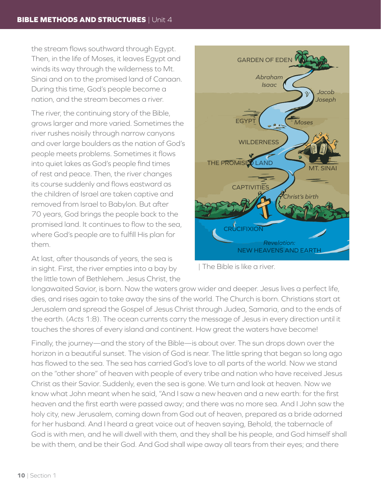the stream flows southward through Egypt. Then, in the life of Moses, it leaves Egypt and winds its way through the wilderness to Mt. Sinai and on to the promised land of Canaan. During this time, God's people become a nation, and the stream becomes a river.

The river, the continuing story of the Bible, grows larger and more varied. Sometimes the river rushes noisily through narrow canyons and over large boulders as the nation of God's people meets problems. Sometimes it flows into quiet lakes as God's people find times of rest and peace. Then, the river changes its course suddenly and flows eastward as the children of Israel are taken captive and removed from Israel to Babylon. But after 70 years, God brings the people back to the promised land. It continues to flow to the sea, where God's people are to fulfill His plan for them.

At last, after thousands of years, the sea is in sight. First, the river empties into a bay by the little town of Bethlehem. Jesus Christ, the



| The Bible is like a river.

longawaited Savior, is born. Now the waters grow wider and deeper. Jesus lives a perfect life, dies, and rises again to take away the sins of the world. The Church is born. Christians start at Jerusalem and spread the Gospel of Jesus Christ through Judea, Samaria, and to the ends of the earth. (*Acts* 1:8). The ocean currents carry the message of Jesus in every direction until it touches the shores of every island and continent. How great the waters have become!

Finally, the journey—and the story of the Bible—is about over. The sun drops down over the horizon in a beautiful sunset. The vision of God is near. The little spring that began so long ago has flowed to the sea. The sea has carried God's love to all parts of the world. Now we stand on the "other shore" of heaven with people of every tribe and nation who have received Jesus Christ as their Savior. Suddenly, even the sea is gone. We turn and look at heaven. Now we know what John meant when he said, "And I saw a new heaven and a new earth: for the first heaven and the first earth were passed away; and there was no more sea. And I John saw the holy city, new Jerusalem, coming down from God out of heaven, prepared as a bride adorned for her husband. And I heard a great voice out of heaven saying, Behold, the tabernacle of God is with men, and he will dwell with them, and they shall be his people, and God himself shall be with them, and be their God. And God shall wipe away all tears from their eyes; and there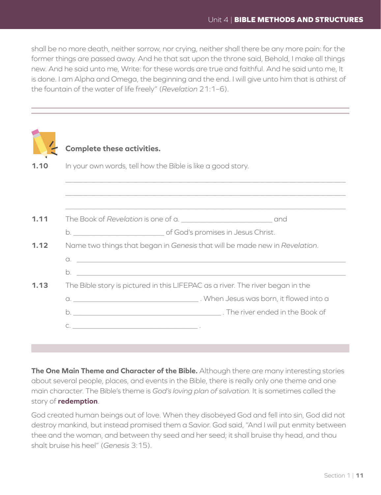shall be no more death, neither sorrow, nor crying, neither shall there be any more pain: for the former things are passed away. And he that sat upon the throne said, Behold, I make all things new. And he said unto me, Write: for these words are true and faithful. And he said unto me, It is done. I am Alpha and Omega, the beginning and the end. I will give unto him that is athirst of the fountain of the water of life freely" (*Revelation* 21:1–6).

|      | <b>Complete these activities.</b>                                              |  |  |  |  |
|------|--------------------------------------------------------------------------------|--|--|--|--|
| 1.10 | In your own words, tell how the Bible is like a good story.                    |  |  |  |  |
|      |                                                                                |  |  |  |  |
|      |                                                                                |  |  |  |  |
| 1.11 |                                                                                |  |  |  |  |
|      |                                                                                |  |  |  |  |
| 1.12 | Name two things that began in Genesis that will be made new in Revelation.     |  |  |  |  |
|      |                                                                                |  |  |  |  |
|      |                                                                                |  |  |  |  |
| 1.13 | The Bible story is pictured in this LIFEPAC as a river. The river began in the |  |  |  |  |
|      |                                                                                |  |  |  |  |
|      |                                                                                |  |  |  |  |
|      |                                                                                |  |  |  |  |
|      |                                                                                |  |  |  |  |

**The One Main Theme and Character of the Bible.** Although there are many interesting stories about several people, places, and events in the Bible, there is really only one theme and one main character. The Bible's theme is *God's loving plan of salvation.* It is sometimes called the story of **redemption**.

God created human beings out of love. When they disobeyed God and fell into sin, God did not destroy mankind, but instead promised them a Savior. God said, "And I will put enmity between thee and the woman, and between thy seed and her seed; it shall bruise thy head, and thou shalt bruise his heel" (*Genesis* 3:15).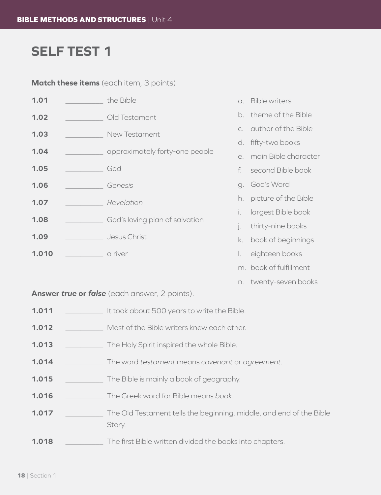## **SELF TEST 1**

**Match these items** (each item, 3 points).

| 1.01  |  | the Bible                      | $\Omega$ | <b>Bible writers</b>   |
|-------|--|--------------------------------|----------|------------------------|
| 1.02  |  | Old Testament                  |          | b. theme of the Bible  |
| 1.03  |  | New Testament                  |          | c. author of the Bible |
|       |  |                                | d.       | fifty-two books        |
| 1.04  |  | approximately forty-one people | e.       | main Bible character   |
| 1.05  |  | God                            | f.       | second Bible book      |
| 1.06  |  | Genesis                        | a.       | God's Word             |
| 1.07  |  | Revelation                     | h.       | picture of the Bible   |
|       |  | God's loving plan of salvation | İ.       | largest Bible book     |
| 1.08  |  |                                |          | thirty-nine books      |
| 1.09  |  | Jesus Christ                   | k.       | book of beginnings     |
| 1.010 |  | a river                        | L.       | eighteen books         |
|       |  |                                |          | m. book of fulfillment |

n. twenty-seven books

**Answer** *true* **or** *false* (each answer, 2 points).

- **1.011** \_\_\_\_\_\_\_\_\_\_\_\_\_ It took about 500 years to write the Bible.
- **1.012** Most of the Bible writers knew each other.
- **1.013** \_\_\_\_\_\_\_\_\_\_ The Holy Spirit inspired the whole Bible.
- **1.014** \_\_\_\_\_\_\_\_\_\_ The word *testament* means *covenant* or *agreement*.
- **1.015** \_\_\_\_\_\_\_\_\_\_ The Bible is mainly a book of geography.
- **1.016** \_\_\_\_\_\_\_\_\_\_ The Greek word for Bible means *book*.
- **1.017** \_\_\_\_\_\_\_\_\_\_ The Old Testament tells the beginning, middle, and end of the Bible Story.
- **1.018**  $\qquad \qquad$  The first Bible written divided the books into chapters.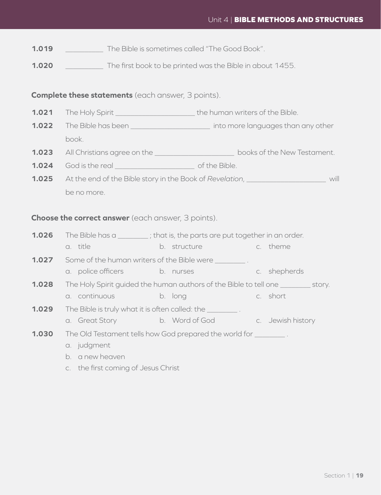### Unit 4 | **BIBLE METHODS AND STRUCTURES**

- **1.019** The Bible is sometimes called "The Good Book".
- **1.020** The first book to be printed was the Bible in about 1455.

### **Complete these statements** (each answer, 3 points).

- **1.021** The Holy Spirit \_\_\_\_\_\_\_\_\_\_\_\_\_\_\_\_\_\_\_\_\_\_\_\_\_\_\_\_ the human writers of the Bible.
- **1.022** The Bible has been \_\_\_\_\_\_\_\_\_\_\_\_\_\_\_\_\_\_\_\_\_\_\_\_\_\_ into more languages than any other book.
- **1.023** All Christians agree on the \_\_\_\_\_\_\_\_\_\_\_\_\_\_\_\_\_\_\_\_\_ books of the New Testament.
- **1.024** God is the real \_\_\_\_\_\_\_\_\_\_\_\_\_\_\_\_\_\_\_\_\_ of the Bible.
- **1.025** At the end of the Bible story in the Book of *Revelation*, \_\_\_\_\_\_\_\_\_\_\_\_\_\_\_\_\_\_\_\_\_ will be no more.

### **Choose the correct answer** (each answer, 3 points).

- **1.026** The Bible has a \_\_\_\_\_\_\_\_\_; that is, the parts are put together in an order.
	- a. title b. structure c. theme
- **1.027** Some of the human writers of the Bible were **we are set that the Sible were** . a. police officers b. nurses c. shepherds
- **1.028** The Holy Spirit guided the human authors of the Bible to tell one \_\_\_\_\_\_\_\_ story. a. continuous b. long c. short
- **1.029** The Bible is truly what it is often called: the \_\_\_\_\_\_\_\_ .
	- a. Great Story b. Word of God c. Jewish history
- **1.030** The Old Testament tells how God prepared the world for
	- a. judgment
	- b. a new heaven
	- c. the first coming of Jesus Christ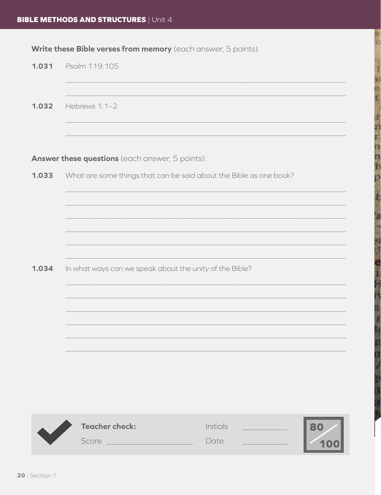Write these Bible verses from memory (each answer, 5 points).

| 1.031 | Psalm 119:105                                                      |
|-------|--------------------------------------------------------------------|
| 1.032 | Hebrews 1:1-2                                                      |
|       | Answer these questions (each answer, 5 points).                    |
| 1.033 | What are some things that can be said about the Bible as one book? |
|       |                                                                    |
|       |                                                                    |
|       |                                                                    |
| 1.034 | In what ways can we speak about the unity of the Bible?            |
|       |                                                                    |
|       |                                                                    |
|       |                                                                    |
|       |                                                                    |